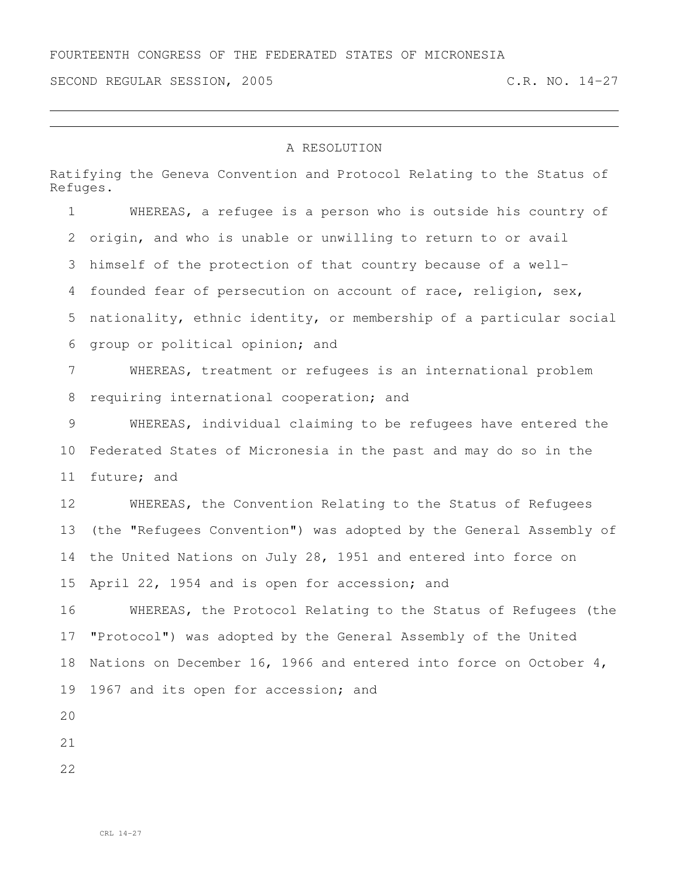SECOND REGULAR SESSION, 2005 C.R. NO. 14-27

## A RESOLUTION

Ratifying the Geneva Convention and Protocol Relating to the Status of Refuges.

 WHEREAS, a refugee is a person who is outside his country of origin, and who is unable or unwilling to return to or avail himself of the protection of that country because of a well- founded fear of persecution on account of race, religion, sex, nationality, ethnic identity, or membership of a particular social group or political opinion; and WHEREAS, treatment or refugees is an international problem 8 requiring international cooperation; and WHEREAS, individual claiming to be refugees have entered the Federated States of Micronesia in the past and may do so in the future; and WHEREAS, the Convention Relating to the Status of Refugees (the "Refugees Convention") was adopted by the General Assembly of the United Nations on July 28, 1951 and entered into force on April 22, 1954 and is open for accession; and WHEREAS, the Protocol Relating to the Status of Refugees (the "Protocol") was adopted by the General Assembly of the United Nations on December 16, 1966 and entered into force on October 4, 1967 and its open for accession; and